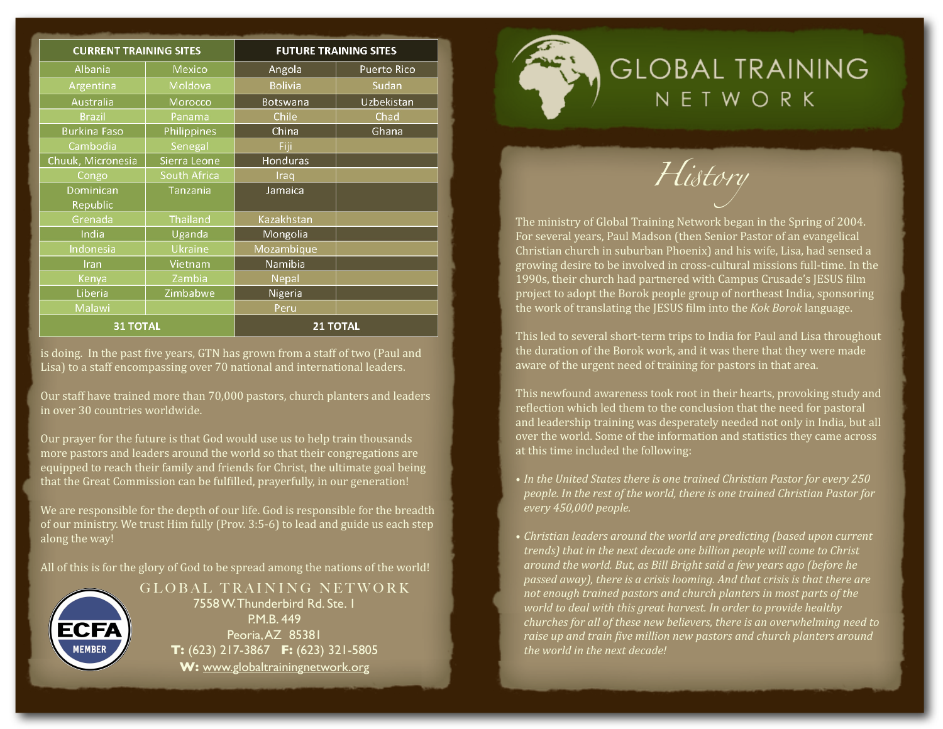| <b>CURRENT TRAINING SITES</b> |                     | <b>FUTURE TRAINING SITES</b> |                    |
|-------------------------------|---------------------|------------------------------|--------------------|
| Albania                       | Mexico              | Angola                       | <b>Puerto Rico</b> |
| Argentina                     | Moldova             | <b>Bolivia</b>               | Sudan              |
| Australia                     | Morocco             | <b>Botswana</b>              | Uzbekistan         |
| <b>Brazil</b>                 | Panama              | Chile                        | Chad               |
| <b>Burkina Faso</b>           | Philippines         | China                        | Ghana              |
| Cambodia                      | Senegal             | Fiji                         |                    |
| Chuuk, Micronesia             | Sierra Leone        | Honduras                     |                    |
| Congo                         | <b>South Africa</b> | Iraq                         |                    |
| Dominican                     | Tanzania            | Jamaica                      |                    |
| Republic                      |                     |                              |                    |
| Grenada                       | <b>Thailand</b>     | Kazakhstan                   |                    |
| India                         | Uganda              | Mongolia                     |                    |
| Indonesia                     | Ukraine             | Mozambique                   |                    |
| Iran                          | Vietnam             | Namibia                      |                    |
| Kenya                         | Zambia              | Nepal                        |                    |
| Liberia                       | Zimbabwe            | Nigeria                      |                    |
| Malawi                        |                     | Peru                         |                    |
| <b>31 TOTAL</b>               |                     | <b>21 TOTAL</b>              |                    |

is doing. In the past five years, GTN has grown from a staff of two (Paul and Lisa) to a staff encompassing over 70 national and international leaders.

Our
staff
have
trained
more
than
70,000
pastors,
church
planters
and
leaders in
over
30
countries
worldwide.

Our prayer for the future is that God would use us to help train thousands more
pastors
and
leaders
around
the
world
so
that
their
congregations
are equipped to reach their family and friends for Christ, the ultimate goal being that the Great Commission can be fulfilled, prayerfully, in our generation!

We are responsible for the depth of our life. God is responsible for the breadth of
our
ministry.
We
trust
Him
fully
(Prov.
3:5‐6)
to
lead
and
guide
us
each
step along
the
way!

All of this is for the glory of God to be spread among the nations of the world!



GLOBAL TRAINING NETWORK 7558 W. Thunderbird Rd. Ste. 1 P.M.B. 449 Peoria, AZ 85381 **T:** (623) 217-3867 **F:** (623) 321-5805 **W:** [www.globaltrainingnetwork.org](http://www.globaltrainingnetwork.org)

**GLOBAL TRAINING** NETWORK

*H*!*tory*

The ministry of Global Training Network began in the Spring of 2004. For
several
years,
Paul
Madson
(then
Senior
Pastor
of
an
evangelical Christian church in suburban Phoenix) and his wife, Lisa, had sensed a growing desire to be involved in cross-cultural missions full-time. In the 1990s, their church had partnered with Campus Crusade's JESUS film project
to
adopt
the
Borok
people
group
of
northeast
India,
sponsoring the work of translating the JESUS film into the *Kok Borok* language.

This led to several short-term trips to India for Paul and Lisa throughout the duration of the Borok work, and it was there that they were made aware
of
the
urgent
need
of
training
for
pastors
in
that
area.

This newfound awareness took root in their hearts, provoking study and reflection which led them to the conclusion that the need for pastoral and leadership training was desperately needed not only in India, but all over the world. Some of the information and statistics they came across at
this
time
included
the
following:

- In the United States there is one trained Christian Pastor for every 250 *people.
In
the
rest
of
the
world,
there
is
one
trained
Christian
Pastor
for every
450,000
people.*
- Christian leaders around the world are predicting (based upon current *trends)
that
in
the
next
decade
one
billion
people
will
come
to
Christ around
the
world.
But,
as
Bill
Bright
said
a
few
years
ago
(before
he passed
away),
there
is
a
crisis
looming.
And
that
crisis
is
that
there
are*  not enough trained pastors and church planters in most parts of the world to deal with this great harvest. In order to provide healthy churches for all of these new believers, there is an overwhelming need to raise up and train five million new pastors and church planters around *the
world
in
the
next
decade!*